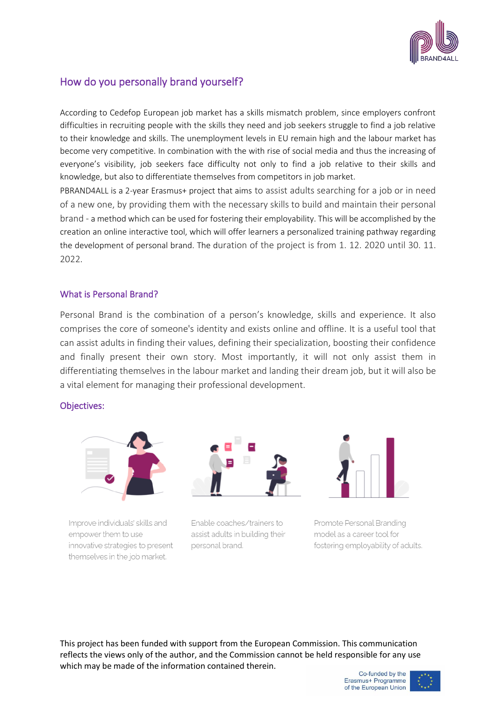

# How do you personally brand yourself?

According to Cedefop European job market has a skills mismatch problem, since employers confront difficulties in recruiting people with the skills they need and job seekers struggle to find a job relative to their knowledge and skills. The unemployment levels in EU remain high and the labour market has become very competitive. In combination with the with rise of social media and thus the increasing of everyone's visibility, job seekers face difficulty not only to find a job relative to their skills and knowledge, but also to differentiate themselves from competitors in job market.

PBRAND4ALL is a 2-year Erasmus+ project that aims to assist adults searching for a job or in need of a new one, by providing them with the necessary skills to build and maintain their personal brand - a method which can be used for fostering their employability. This will be accomplished by the creation an online interactive tool, which will offer learners a personalized training pathway regarding the development of personal brand. The duration of the project is from 1. 12. 2020 until 30. 11. 2022.

# What is Personal Brand?

Personal Brand is the combination of a person's knowledge, skills and experience. It also comprises the core of someone's identity and exists online and offline. It is a useful tool that can assist adults in finding their values, defining their specialization, boosting their confidence and finally present their own story. Most importantly, it will not only assist them in differentiating themselves in the labour market and landing their dream job, but it will also be a vital element for managing their professional development.

#### Objectives:



Improve individuals' skills and empower them to use innovative strategies to present themselves in the job market.



Enable coaches/trainers to assist adults in building their personal brand.



Promote Personal Branding model as a career tool for fostering employability of adults.

This project has been funded with support from the European Commission. This communication reflects the views only of the author, and the Commission cannot be held responsible for any use which may be made of the information contained therein.

Co-funded by the Erasmus+ Programme of the European Union

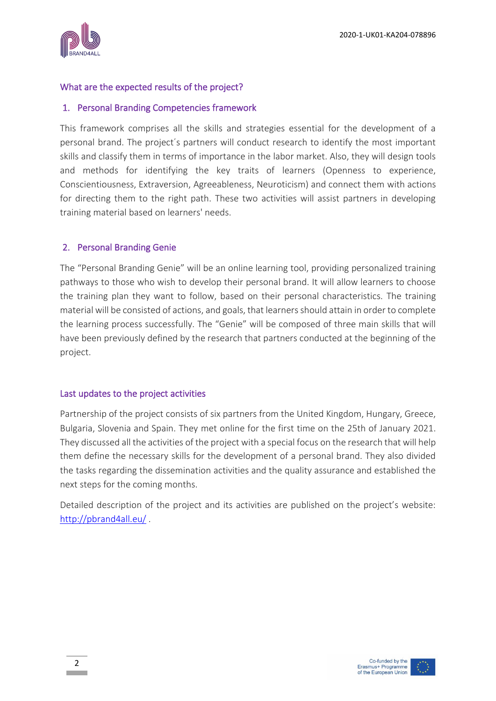

# What are the expected results of the project?

# 1. Personal Branding Competencies framework

This framework comprises all the skills and strategies essential for the development of a personal brand. The project΄s partners will conduct research to identify the most important skills and classify them in terms of importance in the labor market. Also, they will design tools and methods for identifying the key traits of learners (Openness to experience, Conscientiousness, Extraversion, Agreeableness, Neuroticism) and connect them with actions for directing them to the right path. These two activities will assist partners in developing training material based on learners' needs.

# 2. Personal Branding Genie

The "Personal Branding Genie" will be an online learning tool, providing personalized training pathways to those who wish to develop their personal brand. It will allow learners to choose the training plan they want to follow, based on their personal characteristics. The training material will be consisted of actions, and goals, that learners should attain in order to complete the learning process successfully. The "Genie" will be composed of three main skills that will have been previously defined by the research that partners conducted at the beginning of the project.

#### Last updates to the project activities

Partnership of the project consists of six partners from the United Kingdom, Hungary, Greece, Bulgaria, Slovenia and Spain. They met online for the first time on the 25th of January 2021. They discussed all the activities of the project with a special focus on the research that will help them define the necessary skills for the development of a personal brand. They also divided the tasks regarding the dissemination activities and the quality assurance and established the next steps for the coming months.

Detailed description of the project and its activities are published on the project's website: <http://pbrand4all.eu/> .





 $\overline{2}$